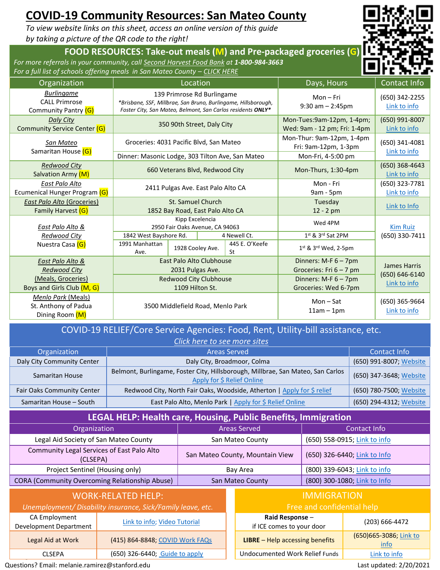# **COVID-19 Community Resources: San Mateo County**

*To view website links on this sheet, access an online version of this guide by taking a picture of the QR code to the right!*

### **FOOD RESOURCES: Take-out meals (M) and Pre-packaged groceries (G)**

*For more referrals in your community, call [Second Harvest Food Bank](https://www.shfb.org/get-food/) at 1-800-984-3663* For a full list of schools offering meals in San Mateo County - [CLICK HERE](https://www.shfb.org/mealsforkids/)



#### COVID-19 RELIEF/Core Service Agencies: Food, Rent, Utility-bill assistance, etc.

| Click here to see more sites |                                                                                                               |                         |  |  |  |
|------------------------------|---------------------------------------------------------------------------------------------------------------|-------------------------|--|--|--|
| Organization                 | Contact Info                                                                                                  |                         |  |  |  |
| Daly City Community Center   | Daly City, Broadmoor, Colma                                                                                   | (650) 991-8007; Website |  |  |  |
| Samaritan House              | Belmont, Burlingame, Foster City, Hillsborough, Millbrae, San Mateo, San Carlos<br>Apply for \$ Relief Online | (650) 347-3648; Website |  |  |  |
| Fair Oaks Community Center   | Redwood City, North Fair Oaks, Woodside, Atherton   Apply for \$ relief                                       | (650) 780-7500; Website |  |  |  |
| Samaritan House - South      | East Palo Alto, Menlo Park   Apply for \$ Relief Online                                                       | (650) 294-4312; Website |  |  |  |

## **LEGAL HELP: Health care, Housing, Public Benefits, Immigration**

| Organization                                           | Areas Served                    | Contact Info                 |  |
|--------------------------------------------------------|---------------------------------|------------------------------|--|
| Legal Aid Society of San Mateo County                  | San Mateo County                | (650) 558-0915; Link to info |  |
| Community Legal Services of East Palo Alto<br>(CLSEPA) | San Mateo County, Mountain View | (650) 326-6440; Link to Info |  |
| Project Sentinel (Housing only)                        | Bay Area                        | (800) 339-6043; Link to info |  |
| <b>CORA (Community Overcoming Relationship Abuse)</b>  | San Mateo County                | (800) 300-1080; Link to Info |  |
|                                                        |                                 |                              |  |

| WORK-RELATED HELP:                                          |                                 |  |                                           |
|-------------------------------------------------------------|---------------------------------|--|-------------------------------------------|
| Unemployment/ Disability insurance, Sick/Family leave, etc. |                                 |  | Free an                                   |
| CA Employment<br><b>Development Department</b>              | Link to info; Video Tutorial    |  | Raid Response -<br>if ICE comes to your o |
| Legal Aid at Work                                           | (415) 864-8848; COVID Work FAQs |  | <b>LIBRE</b> $-$ Help accessing $b$       |
| CLSEPA                                                      | (650) 326-6440; Guide to apply  |  | Undocumented Work Rel                     |

| CONTROLLED IN CONTINUES INCIDENTIAL ADUSCI<br><b>JUIL IVIULLU COUIILY</b>                |                                 |  |                                                  | 1000, 300, 1000, 1000           |
|------------------------------------------------------------------------------------------|---------------------------------|--|--------------------------------------------------|---------------------------------|
| <b>WORK-RELATED HELP:</b><br>Unemployment/ Disability insurance, Sick/Family leave, etc. |                                 |  | <b>IMMIGRATION</b><br>Free and confidential help |                                 |
| CA Employment<br>Development Department                                                  | Link to info; Video Tutorial    |  | Raid Response -<br>if ICE comes to your door     | (203) 666-4472                  |
| Legal Aid at Work                                                                        | (415) 864-8848; COVID Work FAQs |  | <b>LIBRE</b> - Help accessing benefits           | (650) 665-3086; Link to<br>info |
| <b>CLSEPA</b>                                                                            | (650) 326-6440; Guide to apply  |  | Undocumented Work Relief Funds                   | Link to info                    |
| Questions? Email: melanie.ramirez@stanford.edu<br>Last updated: 2/20/2021                |                                 |  |                                                  |                                 |